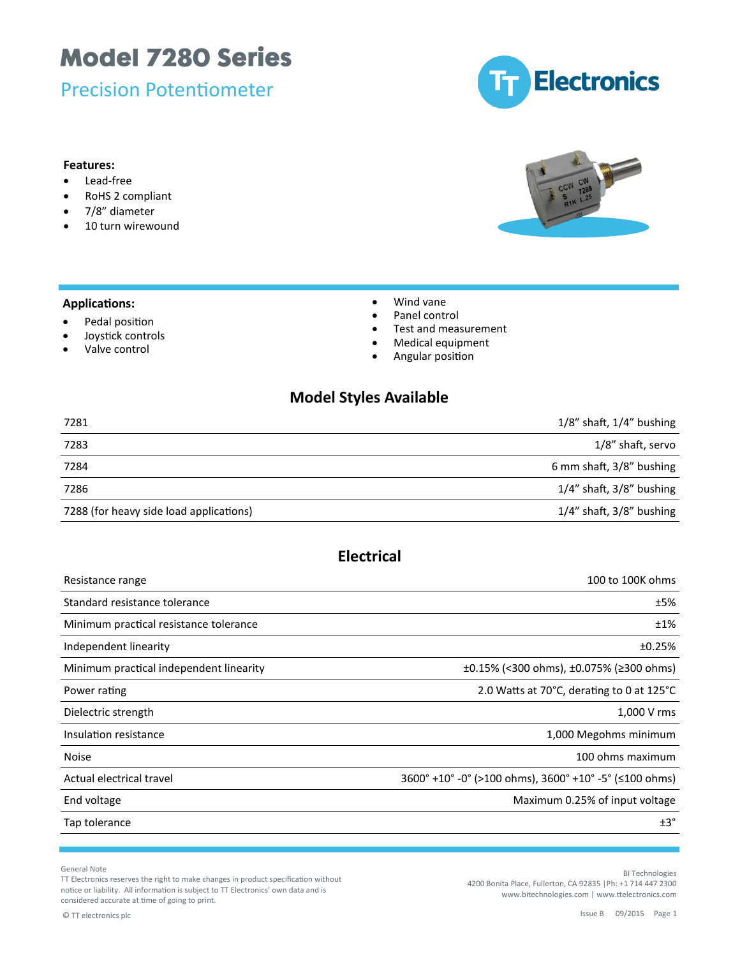Precision Potentiometer



#### **Features:**

- Lead-free
- RoHS 2 compliant
- 7/8" diameter
- 10 turn wirewound

#### **Applications:**

- Pedal position
- Joystick controls
- Valve control
- Wind vane
- Panel control
- Test and measurement
- Medical equipment
- **•** Angular position

#### **Model Styles Available**

| 7281                                    | $1/8$ " shaft, $1/4$ " bushing |
|-----------------------------------------|--------------------------------|
| 7283                                    | 1/8" shaft, servo              |
| 7284                                    | 6 mm shaft, 3/8" bushing       |
| 7286                                    | $1/4$ " shaft, $3/8$ " bushing |
| 7288 (for heavy side load applications) | $1/4$ " shaft, $3/8$ " bushing |

### **Electrical**

| Resistance range                        | 100 to 100K ohms                                                                |
|-----------------------------------------|---------------------------------------------------------------------------------|
| Standard resistance tolerance           | ±5%                                                                             |
| Minimum practical resistance tolerance  | ±1%                                                                             |
| Independent linearity                   | ±0.25%                                                                          |
| Minimum practical independent linearity | $\pm 0.15\%$ (<300 ohms), $\pm 0.075\%$ (≥300 ohms)                             |
| Power rating                            | 2.0 Watts at 70°C, derating to 0 at 125°C                                       |
| Dielectric strength                     | 1,000 V rms                                                                     |
| Insulation resistance                   | 1,000 Megohms minimum                                                           |
| <b>Noise</b>                            | 100 ohms maximum                                                                |
| Actual electrical travel                | $3600^{\circ}$ +10° -0° (>100 ohms), $3600^{\circ}$ +10° -5° ( $\leq$ 100 ohms) |
| End voltage                             | Maximum 0.25% of input voltage                                                  |
| Tap tolerance                           | $±3^{\circ}$                                                                    |

General Note

TT Electronics reserves the right to make changes in product specification without notice or liability. All information is subject to TT Electronics' own data and is considered accurate at time of going to print.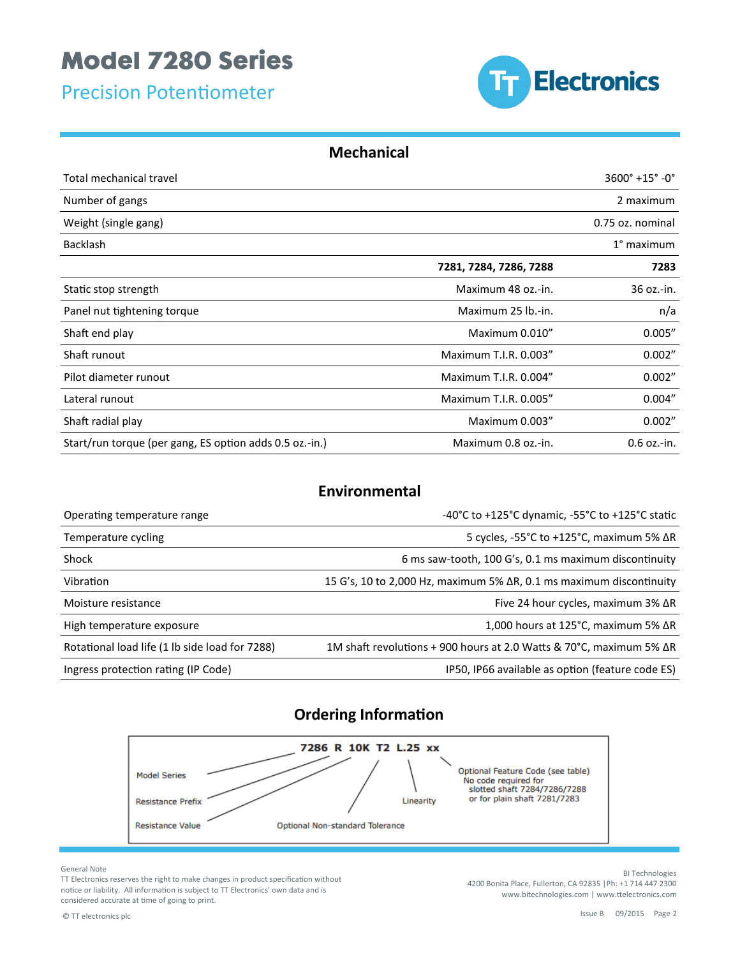Precision Potentiometer



#### **Mechanical**

| Total mechanical travel                                 | $3600^{\circ}$ +15° -0°         |               |
|---------------------------------------------------------|---------------------------------|---------------|
| Number of gangs                                         | 2 maximum                       |               |
| Weight (single gang)                                    | 0.75 oz. nominal                |               |
| <b>Backlash</b>                                         |                                 | $1°$ maximum  |
|                                                         | 7281, 7284, 7286, 7288          | 7283          |
| Static stop strength                                    | Maximum 48 oz.-in.              | 36 oz.-in.    |
| Panel nut tightening torque                             | n/a<br>Maximum 25 lb.-in.       |               |
| Shaft end play                                          | 0.005''<br>Maximum 0.010"       |               |
| Shaft runout                                            | 0.002"<br>Maximum T.I.R. 0.003" |               |
| Pilot diameter runout                                   | Maximum T.I.R. 0.004"           | 0.002"        |
| Lateral runout                                          | 0.004"<br>Maximum T.I.R. 0.005" |               |
| Shaft radial play                                       | Maximum 0.003"                  | 0.002"        |
| Start/run torque (per gang, ES option adds 0.5 oz.-in.) | Maximum 0.8 oz.-in.             | $0.6$ oz.-in. |

#### **Environmental**

| Operating temperature range                    | -40°C to +125°C dynamic, -55°C to +125°C static                             |
|------------------------------------------------|-----------------------------------------------------------------------------|
| Temperature cycling                            | 5 cycles, $-55^{\circ}$ C to $+125^{\circ}$ C, maximum 5% $\Delta$ R        |
| Shock                                          | 6 ms saw-tooth, 100 G's, 0.1 ms maximum discontinuity                       |
| Vibration                                      | 15 G's, 10 to 2,000 Hz, maximum 5% $\Delta$ R, 0.1 ms maximum discontinuity |
| Moisture resistance                            | Five 24 hour cycles, maximum 3% ΔR                                          |
| High temperature exposure                      | 1,000 hours at 125 $^{\circ}$ C, maximum 5% $\Delta$ R                      |
| Rotational load life (1 lb side load for 7288) | 1M shaft revolutions + 900 hours at 2.0 Watts & 70°C, maximum 5% $\Delta$ R |
| Ingress protection rating (IP Code)            | IP50, IP66 available as option (feature code ES)                            |

### **Ordering Information**



General Note

TT Electronics reserves the right to make changes in product specification without notice or liability. All information is subject to TT Electronics' own data and is considered accurate at time of going to print.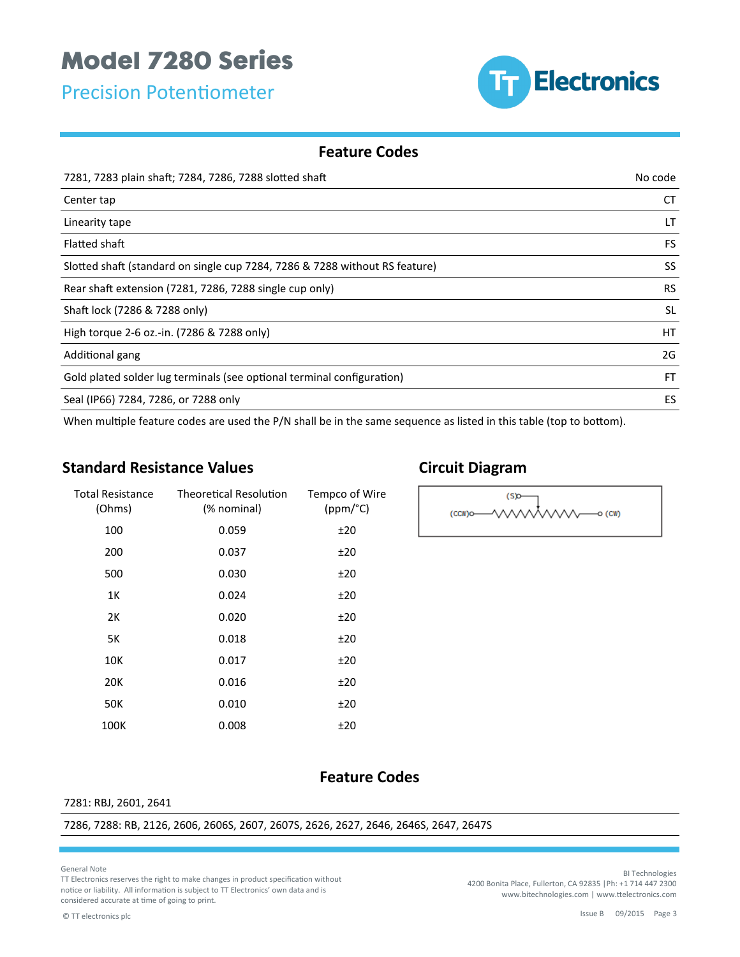Precision Potentiometer



#### **Feature Codes**

| 7281, 7283 plain shaft; 7284, 7286, 7288 slotted shaft                      | No code   |
|-----------------------------------------------------------------------------|-----------|
| Center tap                                                                  | СT        |
| Linearity tape                                                              | LT        |
| Flatted shaft                                                               | FS.       |
| Slotted shaft (standard on single cup 7284, 7286 & 7288 without RS feature) | SS        |
| Rear shaft extension (7281, 7286, 7288 single cup only)                     | <b>RS</b> |
| Shaft lock (7286 & 7288 only)                                               | <b>SL</b> |
| High torque 2-6 oz.-in. (7286 & 7288 only)                                  | <b>HT</b> |
| Additional gang                                                             | 2G        |
| Gold plated solder lug terminals (see optional terminal configuration)      | <b>FT</b> |
| Seal (IP66) 7284, 7286, or 7288 only                                        | ES        |

When multiple feature codes are used the P/N shall be in the same sequence as listed in this table (top to bottom).

#### **Standard Resistance Values**

| <b>Total Resistance</b><br>(Ohms) | <b>Theoretical Resolution</b><br>(% nominal) | Tempco of Wire<br>(ppm/°C) |
|-----------------------------------|----------------------------------------------|----------------------------|
| 100                               | 0.059                                        | ±20                        |
| 200                               | 0.037                                        | ±20                        |
| 500                               | 0.030                                        | ±20                        |
| 1Κ                                | 0.024                                        | ±20                        |
| 2К                                | 0.020                                        | ±20                        |
| 5K                                | 0.018                                        | ±20                        |
| 10K                               | 0.017                                        | ±20                        |
| 20K                               | 0.016                                        | ±20                        |
| 50K                               | 0.010                                        | ±20                        |
| 100K                              | 0.008                                        | ±20                        |

### **Circuit Diagram**



#### **Feature Codes**

#### 7281: RBJ, 2601, 2641

7286, 7288: RB, 2126, 2606, 2606S, 2607, 2607S, 2626, 2627, 2646, 2646S, 2647, 2647S

General Note

TT Electronics reserves the right to make changes in product specification without notice or liability. All information is subject to TT Electronics' own data and is considered accurate at time of going to print.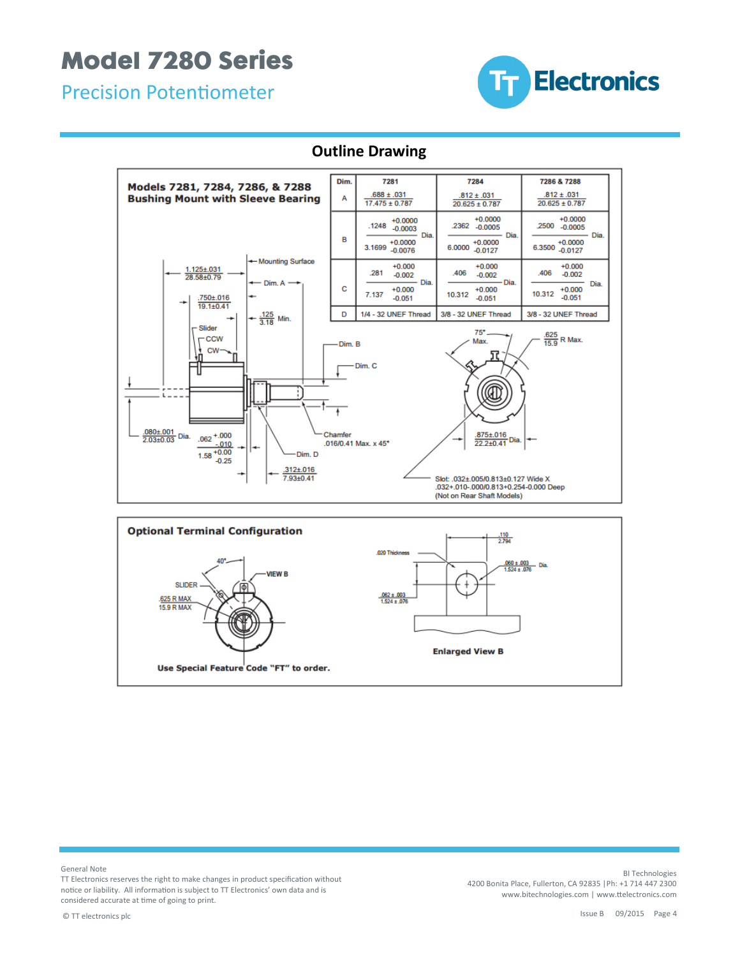Precision Potentiometer



#### **Outline Drawing**





General Note

TT Electronics reserves the right to make changes in product specification without notice or liability. All information is subject to TT Electronics' own data and is considered accurate at time of going to print.